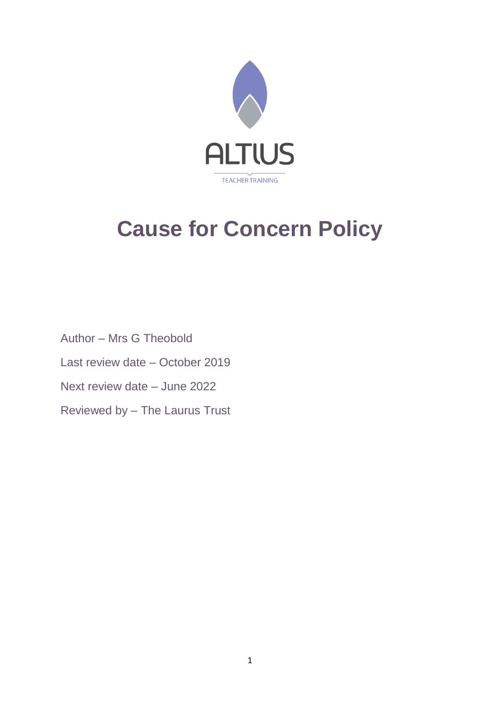

# **Cause for Concern Policy**

Author – Mrs G Theobold Last review date – October 2019 Next review date – June 2022 Reviewed by – The Laurus Trust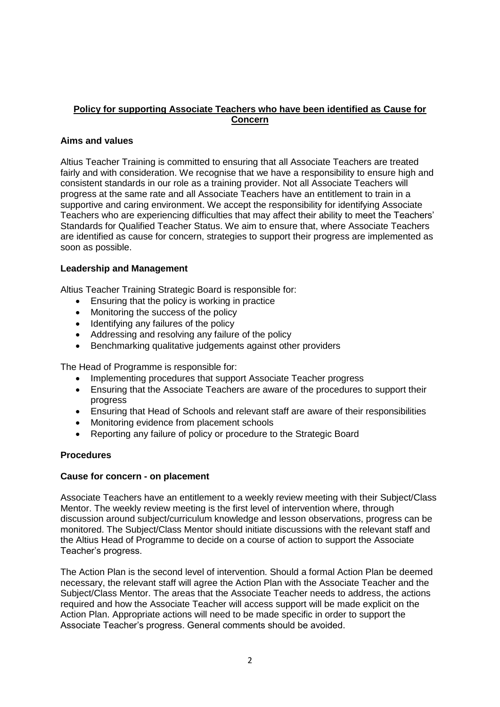# **Policy for supporting Associate Teachers who have been identified as Cause for Concern**

# **Aims and values**

Altius Teacher Training is committed to ensuring that all Associate Teachers are treated fairly and with consideration. We recognise that we have a responsibility to ensure high and consistent standards in our role as a training provider. Not all Associate Teachers will progress at the same rate and all Associate Teachers have an entitlement to train in a supportive and caring environment. We accept the responsibility for identifying Associate Teachers who are experiencing difficulties that may affect their ability to meet the Teachers' Standards for Qualified Teacher Status. We aim to ensure that, where Associate Teachers are identified as cause for concern, strategies to support their progress are implemented as soon as possible.

## **Leadership and Management**

Altius Teacher Training Strategic Board is responsible for:

- Ensuring that the policy is working in practice
- Monitoring the success of the policy
- Identifying any failures of the policy
- Addressing and resolving any failure of the policy
- Benchmarking qualitative judgements against other providers

The Head of Programme is responsible for:

- Implementing procedures that support Associate Teacher progress
- Ensuring that the Associate Teachers are aware of the procedures to support their progress
- Ensuring that Head of Schools and relevant staff are aware of their responsibilities
- Monitoring evidence from placement schools
- Reporting any failure of policy or procedure to the Strategic Board

## **Procedures**

## **Cause for concern - on placement**

Associate Teachers have an entitlement to a weekly review meeting with their Subject/Class Mentor. The weekly review meeting is the first level of intervention where, through discussion around subject/curriculum knowledge and lesson observations, progress can be monitored. The Subject/Class Mentor should initiate discussions with the relevant staff and the Altius Head of Programme to decide on a course of action to support the Associate Teacher's progress.

The Action Plan is the second level of intervention. Should a formal Action Plan be deemed necessary, the relevant staff will agree the Action Plan with the Associate Teacher and the Subject/Class Mentor. The areas that the Associate Teacher needs to address, the actions required and how the Associate Teacher will access support will be made explicit on the Action Plan. Appropriate actions will need to be made specific in order to support the Associate Teacher's progress. General comments should be avoided.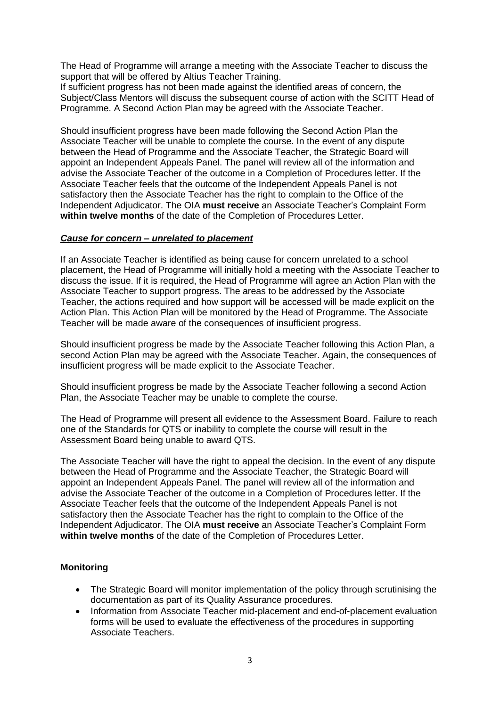The Head of Programme will arrange a meeting with the Associate Teacher to discuss the support that will be offered by Altius Teacher Training.

If sufficient progress has not been made against the identified areas of concern, the Subject/Class Mentors will discuss the subsequent course of action with the SCITT Head of Programme. A Second Action Plan may be agreed with the Associate Teacher.

Should insufficient progress have been made following the Second Action Plan the Associate Teacher will be unable to complete the course. In the event of any dispute between the Head of Programme and the Associate Teacher, the Strategic Board will appoint an Independent Appeals Panel. The panel will review all of the information and advise the Associate Teacher of the outcome in a Completion of Procedures letter. If the Associate Teacher feels that the outcome of the Independent Appeals Panel is not satisfactory then the Associate Teacher has the right to complain to the Office of the Independent Adjudicator. The OIA **must receive** an Associate Teacher's Complaint Form **within twelve months** of the date of the Completion of Procedures Letter.

## *Cause for concern – unrelated to placement*

If an Associate Teacher is identified as being cause for concern unrelated to a school placement, the Head of Programme will initially hold a meeting with the Associate Teacher to discuss the issue. If it is required, the Head of Programme will agree an Action Plan with the Associate Teacher to support progress. The areas to be addressed by the Associate Teacher, the actions required and how support will be accessed will be made explicit on the Action Plan. This Action Plan will be monitored by the Head of Programme. The Associate Teacher will be made aware of the consequences of insufficient progress.

Should insufficient progress be made by the Associate Teacher following this Action Plan, a second Action Plan may be agreed with the Associate Teacher. Again, the consequences of insufficient progress will be made explicit to the Associate Teacher.

Should insufficient progress be made by the Associate Teacher following a second Action Plan, the Associate Teacher may be unable to complete the course.

The Head of Programme will present all evidence to the Assessment Board. Failure to reach one of the Standards for QTS or inability to complete the course will result in the Assessment Board being unable to award QTS.

The Associate Teacher will have the right to appeal the decision. In the event of any dispute between the Head of Programme and the Associate Teacher, the Strategic Board will appoint an Independent Appeals Panel. The panel will review all of the information and advise the Associate Teacher of the outcome in a Completion of Procedures letter. If the Associate Teacher feels that the outcome of the Independent Appeals Panel is not satisfactory then the Associate Teacher has the right to complain to the Office of the Independent Adjudicator. The OIA **must receive** an Associate Teacher's Complaint Form **within twelve months** of the date of the Completion of Procedures Letter.

## **Monitoring**

- The Strategic Board will monitor implementation of the policy through scrutinising the documentation as part of its Quality Assurance procedures.
- Information from Associate Teacher mid-placement and end-of-placement evaluation forms will be used to evaluate the effectiveness of the procedures in supporting Associate Teachers.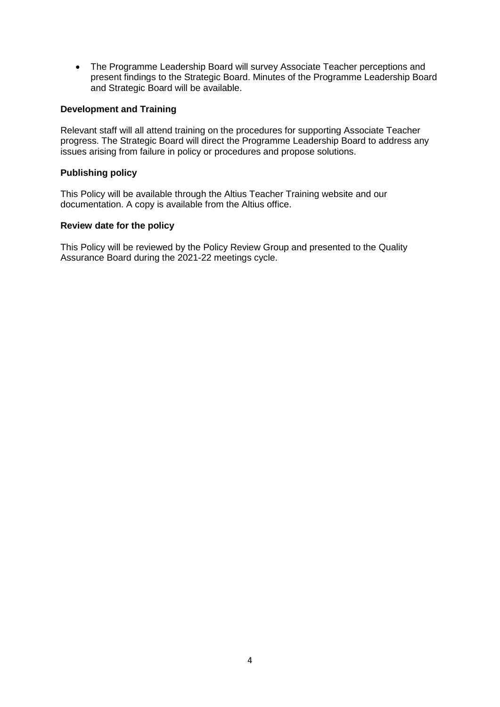• The Programme Leadership Board will survey Associate Teacher perceptions and present findings to the Strategic Board. Minutes of the Programme Leadership Board and Strategic Board will be available.

#### **Development and Training**

Relevant staff will all attend training on the procedures for supporting Associate Teacher progress. The Strategic Board will direct the Programme Leadership Board to address any issues arising from failure in policy or procedures and propose solutions.

#### **Publishing policy**

This Policy will be available through the Altius Teacher Training website and our documentation. A copy is available from the Altius office.

#### **Review date for the policy**

This Policy will be reviewed by the Policy Review Group and presented to the Quality Assurance Board during the 2021-22 meetings cycle.